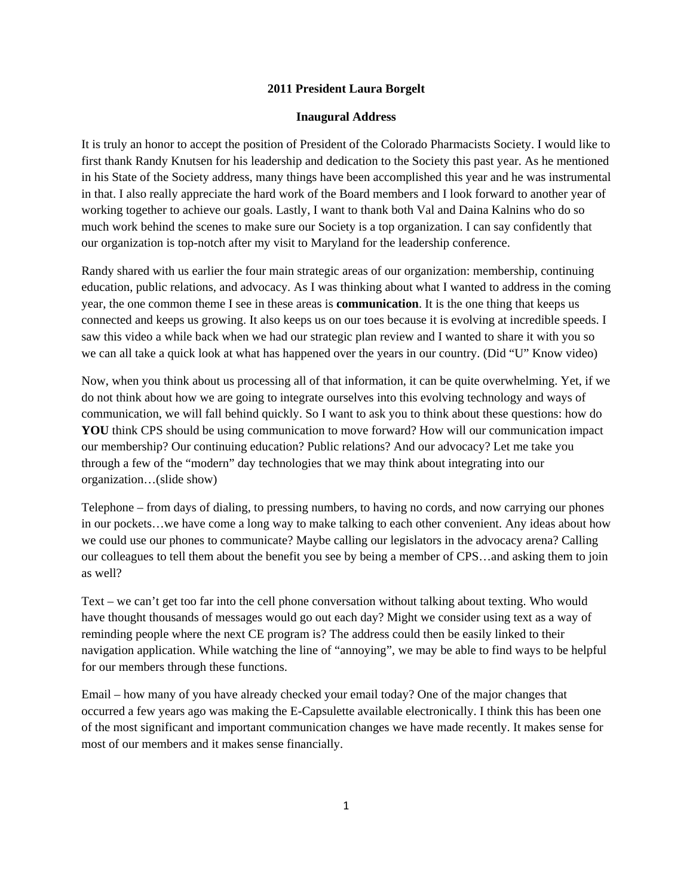## **2011 President Laura Borgelt**

## **Inaugural Address**

It is truly an honor to accept the position of President of the Colorado Pharmacists Society. I would like to first thank Randy Knutsen for his leadership and dedication to the Society this past year. As he mentioned in his State of the Society address, many things have been accomplished this year and he was instrumental in that. I also really appreciate the hard work of the Board members and I look forward to another year of working together to achieve our goals. Lastly, I want to thank both Val and Daina Kalnins who do so much work behind the scenes to make sure our Society is a top organization. I can say confidently that our organization is top-notch after my visit to Maryland for the leadership conference.

Randy shared with us earlier the four main strategic areas of our organization: membership, continuing education, public relations, and advocacy. As I was thinking about what I wanted to address in the coming year, the one common theme I see in these areas is **communication**. It is the one thing that keeps us connected and keeps us growing. It also keeps us on our toes because it is evolving at incredible speeds. I saw this video a while back when we had our strategic plan review and I wanted to share it with you so we can all take a quick look at what has happened over the years in our country. (Did "U" Know video)

Now, when you think about us processing all of that information, it can be quite overwhelming. Yet, if we do not think about how we are going to integrate ourselves into this evolving technology and ways of communication, we will fall behind quickly. So I want to ask you to think about these questions: how do **YOU** think CPS should be using communication to move forward? How will our communication impact our membership? Our continuing education? Public relations? And our advocacy? Let me take you through a few of the "modern" day technologies that we may think about integrating into our organization…(slide show)

Telephone – from days of dialing, to pressing numbers, to having no cords, and now carrying our phones in our pockets…we have come a long way to make talking to each other convenient. Any ideas about how we could use our phones to communicate? Maybe calling our legislators in the advocacy arena? Calling our colleagues to tell them about the benefit you see by being a member of CPS…and asking them to join as well?

Text – we can't get too far into the cell phone conversation without talking about texting. Who would have thought thousands of messages would go out each day? Might we consider using text as a way of reminding people where the next CE program is? The address could then be easily linked to their navigation application. While watching the line of "annoying", we may be able to find ways to be helpful for our members through these functions.

Email – how many of you have already checked your email today? One of the major changes that occurred a few years ago was making the E-Capsulette available electronically. I think this has been one of the most significant and important communication changes we have made recently. It makes sense for most of our members and it makes sense financially.